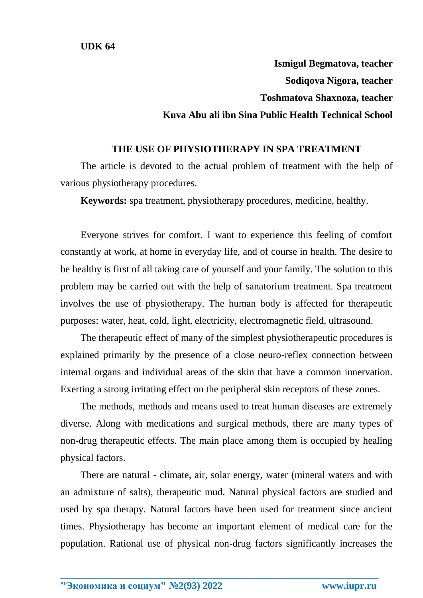**UDK 64**

**Ismigul Begmatova, teacher Sodiqova Nigora, teacher Toshmatova Shaxnoza, teacher Kuva Abu ali ibn Sina Public Health Technical School**

## **THE USE OF PHYSIOTHERAPY IN SPA TREATMENT**

The article is devoted to the actual problem of treatment with the help of various physiotherapy procedures.

**Keywords:** spa treatment, physiotherapy procedures, medicine, healthy.

Everyone strives for comfort. I want to experience this feeling of comfort constantly at work, at home in everyday life, and of course in health. The desire to be healthy is first of all taking care of yourself and your family. The solution to this problem may be carried out with the help of sanatorium treatment. Spa treatment involves the use of physiotherapy. The human body is affected for therapeutic purposes: water, heat, cold, light, electricity, electromagnetic field, ultrasound.

The therapeutic effect of many of the simplest physiotherapeutic procedures is explained primarily by the presence of a close neuro-reflex connection between internal organs and individual areas of the skin that have a common innervation. Exerting a strong irritating effect on the peripheral skin receptors of these zones.

The methods, methods and means used to treat human diseases are extremely diverse. Along with medications and surgical methods, there are many types of non-drug therapeutic effects. The main place among them is occupied by healing physical factors.

There are natural - climate, air, solar energy, water (mineral waters and with an admixture of salts), therapeutic mud. Natural physical factors are studied and used by spa therapy. Natural factors have been used for treatment since ancient times. Physiotherapy has become an important element of medical care for the population. Rational use of physical non-drug factors significantly increases the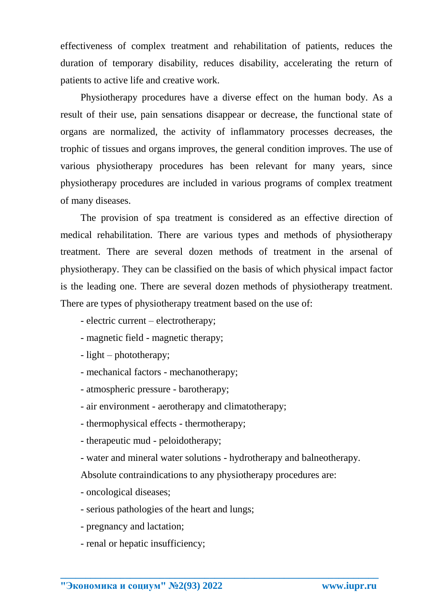effectiveness of complex treatment and rehabilitation of patients, reduces the duration of temporary disability, reduces disability, accelerating the return of patients to active life and creative work.

Physiotherapy procedures have a diverse effect on the human body. As a result of their use, pain sensations disappear or decrease, the functional state of organs are normalized, the activity of inflammatory processes decreases, the trophic of tissues and organs improves, the general condition improves. The use of various physiotherapy procedures has been relevant for many years, since physiotherapy procedures are included in various programs of complex treatment of many diseases.

The provision of spa treatment is considered as an effective direction of medical rehabilitation. There are various types and methods of physiotherapy treatment. There are several dozen methods of treatment in the arsenal of physiotherapy. They can be classified on the basis of which physical impact factor is the leading one. There are several dozen methods of physiotherapy treatment. There are types of physiotherapy treatment based on the use of:

- electric current electrotherapy;
- magnetic field magnetic therapy;
- light phototherapy;
- mechanical factors mechanotherapy;
- atmospheric pressure barotherapy;
- air environment aerotherapy and climatotherapy;
- thermophysical effects thermotherapy;
- therapeutic mud peloidotherapy;
- water and mineral water solutions hydrotherapy and balneotherapy.

**\_\_\_\_\_\_\_\_\_\_\_\_\_\_\_\_\_\_\_\_\_\_\_\_\_\_\_\_\_\_\_\_\_\_\_\_\_\_\_\_\_\_\_\_\_\_\_\_\_\_\_\_\_\_\_\_\_\_\_\_\_\_\_\_**

Absolute contraindications to any physiotherapy procedures are:

- oncological diseases;
- serious pathologies of the heart and lungs;
- pregnancy and lactation;
- renal or hepatic insufficiency;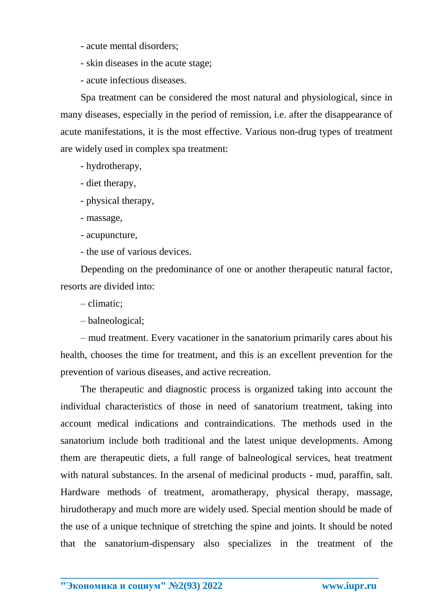- acute mental disorders;
- skin diseases in the acute stage;
- acute infectious diseases.

Spa treatment can be considered the most natural and physiological, since in many diseases, especially in the period of remission, i.e. after the disappearance of acute manifestations, it is the most effective. Various non-drug types of treatment are widely used in complex spa treatment:

- hydrotherapy,
- diet therapy,
- physical therapy,
- massage,
- acupuncture,
- the use of various devices.

Depending on the predominance of one or another therapeutic natural factor, resorts are divided into:

- climatic;
- balneological;

– mud treatment. Every vacationer in the sanatorium primarily cares about his health, chooses the time for treatment, and this is an excellent prevention for the prevention of various diseases, and active recreation.

The therapeutic and diagnostic process is organized taking into account the individual characteristics of those in need of sanatorium treatment, taking into account medical indications and contraindications. The methods used in the sanatorium include both traditional and the latest unique developments. Among them are therapeutic diets, a full range of balneological services, heat treatment with natural substances. In the arsenal of medicinal products - mud, paraffin, salt. Hardware methods of treatment, aromatherapy, physical therapy, massage, hirudotherapy and much more are widely used. Special mention should be made of the use of a unique technique of stretching the spine and joints. It should be noted that the sanatorium-dispensary also specializes in the treatment of the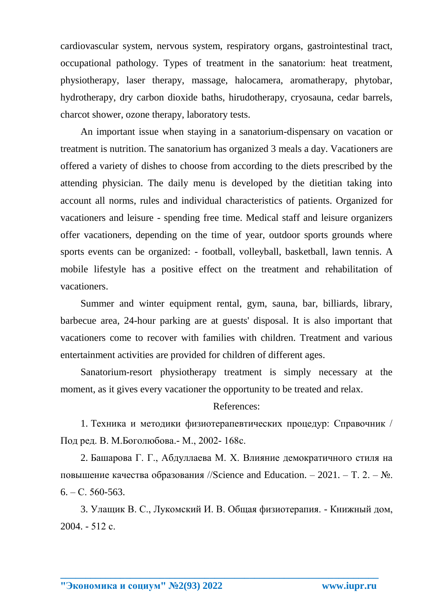cardiovascular system, nervous system, respiratory organs, gastrointestinal tract, occupational pathology. Types of treatment in the sanatorium: heat treatment, physiotherapy, laser therapy, massage, halocamera, aromatherapy, phytobar, hydrotherapy, dry carbon dioxide baths, hirudotherapy, cryosauna, cedar barrels, charcot shower, ozone therapy, laboratory tests.

An important issue when staying in a sanatorium-dispensary on vacation or treatment is nutrition. The sanatorium has organized 3 meals a day. Vacationers are offered a variety of dishes to choose from according to the diets prescribed by the attending physician. The daily menu is developed by the dietitian taking into account all norms, rules and individual characteristics of patients. Organized for vacationers and leisure - spending free time. Medical staff and leisure organizers offer vacationers, depending on the time of year, outdoor sports grounds where sports events can be organized: - football, volleyball, basketball, lawn tennis. A mobile lifestyle has a positive effect on the treatment and rehabilitation of vacationers.

Summer and winter equipment rental, gym, sauna, bar, billiards, library, barbecue area, 24-hour parking are at guests' disposal. It is also important that vacationers come to recover with families with children. Treatment and various entertainment activities are provided for children of different ages.

Sanatorium-resort physiotherapy treatment is simply necessary at the moment, as it gives every vacationer the opportunity to be treated and relax.

References:

1. Техника и методики физиотерапевтических процедур: Справочник / Под ред. В. М.Боголюбова.- М., 2002- 168с.

2. Башарова Г. Г., Абдуллаева М. Х. Влияние демократичного стиля на повышение качества образования //Science and Education. – 2021. – Т. 2. –  $\mathbb{N}_2$ .  $6. - C. 560 - 563.$ 

3. Улащик В. С., Лукомский И. В. Общая физиотерапия. - Книжный дом, 2004. - 512 с.